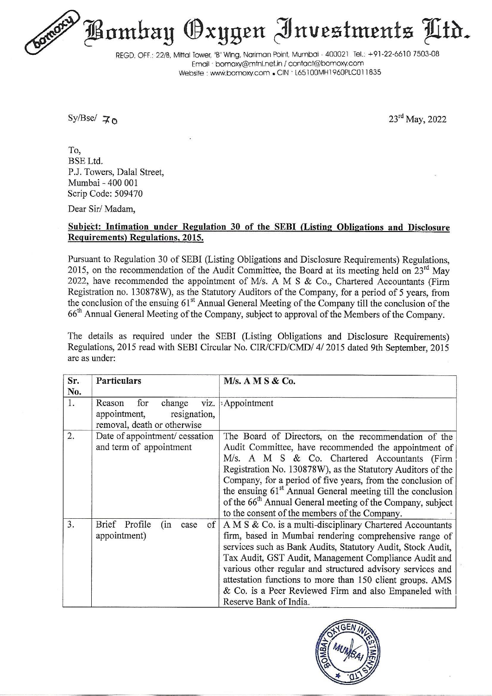Bombay Oxygen Investments Ltr.

GD, OFF,; 22/8, Mittal Tower, "B" Wing, Nariman Point, Mumbai - 400021 Tel.: +91-22-6610 7503-08 Email - bomoxy@mini.net.in / contact@bomoxy.com Website : www.bomoxy.com . CIN ' L65100MH1960PLC011835

Sy/Bse/  $\mp$ **o** 

23™ May, 2022

## Subject: Intimation under Regulation 30 of the SEBI (Listing Obligations and Disclosure Requirements) Regulations, 2015.

Pursuant to Regulation 30 of SEBI (Listing Obligations and Disclosure Requirements) Regulations, 2015, on the recommendation of the Audit Committee, the Board at its meeting held on  $23<sup>rd</sup>$  May 2022, have recommended the appointment of M/s. A M S & Co., Chartered Accountants (Firm Registration no. 130878W), as the Statutory Auditors of the Company, for a period of 5 years, from the conclusion of the ensuing  $61<sup>st</sup>$  Annual General Meeting of the Company till the conclusion of the 66" Annual General Meeting of the Company, subject to approval of the Members of the Company. **EXAMPLE CONSTRAIN CONSTRAINS CONSTRAINS CONSTRAINS CONSTRAINS CONSTRAINS CONSTRAINS (Email : bomoxy@mt<br>
Email : bomoxy@mt<br>
Website : www.bomoxy@mt<br>
Website : www.bomoxy@mt<br>
Numbai - 400 001<br>
Sex Ltd.<br>
Mumbai - 400 001<br>
S EXAMPLE THE SECT OF EXAMPLE THE COLORER SET AND SURVEY WARD NOT THE REGIDED OF EXAMPLE THE TOOL SCRIP OF THE SET AND SET AND SET AND DRELAL Mumbai -400 001<br>
SET AT TWO SET AND SET AND SET AND SET AND SET AND SET AND DREL** REGD. OFF.: 22/8, Milral Tower, "8 V2<br>
REGD. OFF.: 22/8, Milral Towns, The Fiving, Noring Website : www.bomokyce<br>
Sy/Bse/  $\neq$  0<br>
To,<br>
To,<br>
To,<br>
P.J. Towers, Dalal Street,<br>
Mumbai - 400 001<br>
Seri L.d.<br>
P.J. Towers, Dalal

| To,<br><b>BSE</b> Ltd.                                                                                                                                                                                                                                                                                                                                                                                                                                                                                                                                                                                                                                                                                                                                                                                                                             | P.J. Towers, Dalal Street,<br>Mumbai - 400 001<br>Scrip Code: 509470                           |                                                                                                                                                                                                                                                                                                                                                                                                                                                                                                  |  |
|----------------------------------------------------------------------------------------------------------------------------------------------------------------------------------------------------------------------------------------------------------------------------------------------------------------------------------------------------------------------------------------------------------------------------------------------------------------------------------------------------------------------------------------------------------------------------------------------------------------------------------------------------------------------------------------------------------------------------------------------------------------------------------------------------------------------------------------------------|------------------------------------------------------------------------------------------------|--------------------------------------------------------------------------------------------------------------------------------------------------------------------------------------------------------------------------------------------------------------------------------------------------------------------------------------------------------------------------------------------------------------------------------------------------------------------------------------------------|--|
|                                                                                                                                                                                                                                                                                                                                                                                                                                                                                                                                                                                                                                                                                                                                                                                                                                                    | Dear Sir/Madam,                                                                                |                                                                                                                                                                                                                                                                                                                                                                                                                                                                                                  |  |
| Subject: Intimation under Regulation 30 of the SEBI (Listing Obligations and Disclosure<br><b>Requirements) Regulations, 2015.</b>                                                                                                                                                                                                                                                                                                                                                                                                                                                                                                                                                                                                                                                                                                                 |                                                                                                |                                                                                                                                                                                                                                                                                                                                                                                                                                                                                                  |  |
| Pursuant to Regulation 30 of SEBI (Listing Obligations and Disclosure Requirements) Regulations,<br>2015, on the recommendation of the Audit Committee, the Board at its meeting held on $23rd$ May<br>2022, have recommended the appointment of M/s. A M S & Co., Chartered Accountants (Firm<br>Registration no. 130878W), as the Statutory Auditors of the Company, for a period of 5 years, from<br>the conclusion of the ensuing 61 <sup>st</sup> Annual General Meeting of the Company till the conclusion of the<br>66 <sup>th</sup> Annual General Meeting of the Company, subject to approval of the Members of the Company.<br>The details as required under the SEBI (Listing Obligations and Disclosure Requirements)<br>Regulations, 2015 read with SEBI Circular No. CIR/CFD/CMD/ 4/ 2015 dated 9th September, 2015<br>are as under: |                                                                                                |                                                                                                                                                                                                                                                                                                                                                                                                                                                                                                  |  |
| Sr.<br>No.                                                                                                                                                                                                                                                                                                                                                                                                                                                                                                                                                                                                                                                                                                                                                                                                                                         | <b>Particulars</b>                                                                             | M/s. A M S & Co.                                                                                                                                                                                                                                                                                                                                                                                                                                                                                 |  |
| 1.                                                                                                                                                                                                                                                                                                                                                                                                                                                                                                                                                                                                                                                                                                                                                                                                                                                 | Reason<br>for<br>change<br>viz.<br>appointment,<br>resignation,<br>removal, death or otherwise | : Appointment                                                                                                                                                                                                                                                                                                                                                                                                                                                                                    |  |
| 2.                                                                                                                                                                                                                                                                                                                                                                                                                                                                                                                                                                                                                                                                                                                                                                                                                                                 | Date of appointment/ cessation                                                                 |                                                                                                                                                                                                                                                                                                                                                                                                                                                                                                  |  |
|                                                                                                                                                                                                                                                                                                                                                                                                                                                                                                                                                                                                                                                                                                                                                                                                                                                    | and term of appointment                                                                        | The Board of Directors, on the recommendation of the<br>Audit Committee, have recommended the appointment of<br>M/s. A M S & Co. Chartered Accountants (Firm<br>Registration No. 130878W), as the Statutory Auditors of the<br>Company, for a period of five years, from the conclusion of<br>the ensuing 61 <sup>st</sup> Annual General meeting till the conclusion<br>of the 66 <sup>th</sup> Annual General meeting of the Company, subject<br>to the consent of the members of the Company. |  |